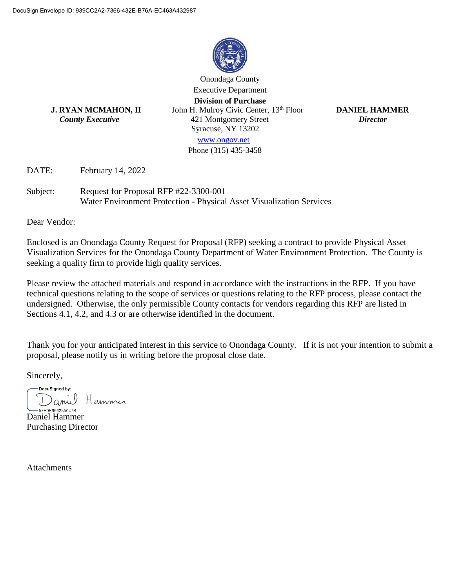

Onondaga County Executive Department **Division of Purchase J. RYAN MCMAHON, II** John H. Mulroy Civic Center, 13th Floor**DANIEL HAMMER**  *County Executive* 421 Montgomery Street *Director* Syracuse, NY 13202

[www.ongov.net](http://www.ongov.net/)

Phone (315) 435-3458

DATE: February 14, 2022

Subject: Request for Proposal RFP #22-3300-001 Water Environment Protection - Physical Asset Visualization Services

Dear Vendor:

Enclosed is an Onondaga County Request for Proposal (RFP) seeking a contract to provide Physical Asset Visualization Services for the Onondaga County Department of Water Environment Protection. The County is seeking a quality firm to provide high quality services.

Please review the attached materials and respond in accordance with the instructions in the RFP. If you have technical questions relating to the scope of services or questions relating to the RFP process, please contact the undersigned. Otherwise, the only permissible County contacts for vendors regarding this RFP are listed in Sections 4.1, 4.2, and 4.3 or are otherwise identified in the document.

Thank you for your anticipated interest in this service to Onondaga County. If it is not your intention to submit a proposal, please notify us in writing before the proposal close date.

Sincerely,

DocuSigned by: Hammer aniel

-57E9E966235047B. Daniel Hammer Purchasing Director

**Attachments**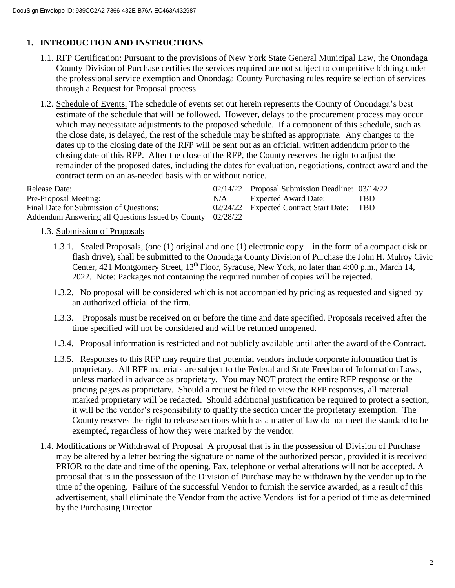# **1. INTRODUCTION AND INSTRUCTIONS**

- 1.1. RFP Certification: Pursuant to the provisions of New York State General Municipal Law, the Onondaga County Division of Purchase certifies the services required are not subject to competitive bidding under the professional service exemption and Onondaga County Purchasing rules require selection of services through a Request for Proposal process.
- 1.2. Schedule of Events. The schedule of events set out herein represents the County of Onondaga's best estimate of the schedule that will be followed. However, delays to the procurement process may occur which may necessitate adjustments to the proposed schedule. If a component of this schedule, such as the close date, is delayed, the rest of the schedule may be shifted as appropriate. Any changes to the dates up to the closing date of the RFP will be sent out as an official, written addendum prior to the closing date of this RFP. After the close of the RFP, the County reserves the right to adjust the remainder of the proposed dates, including the dates for evaluation, negotiations, contract award and the contract term on an as-needed basis with or without notice.

| <b>Release Date:</b>                                       |     | 02/14/22 Proposal Submission Deadline: 03/14/22 |            |
|------------------------------------------------------------|-----|-------------------------------------------------|------------|
| Pre-Proposal Meeting:                                      | N/A | Expected Award Date:                            | TBD        |
| Final Date for Submission of Questions:                    |     | 02/24/22 Expected Contract Start Date:          | <b>TRD</b> |
| Addendum Answering all Questions Issued by County 02/28/22 |     |                                                 |            |

- 1.3. Submission of Proposals
	- 1.3.1. Sealed Proposals, (one (1) original and one (1) electronic copy in the form of a compact disk or flash drive), shall be submitted to the Onondaga County Division of Purchase the John H. Mulroy Civic Center, 421 Montgomery Street, 13<sup>th</sup> Floor, Syracuse, New York, no later than 4:00 p.m., March 14, 2022. Note: Packages not containing the required number of copies will be rejected.
	- 1.3.2. No proposal will be considered which is not accompanied by pricing as requested and signed by an authorized official of the firm.
	- 1.3.3. Proposals must be received on or before the time and date specified. Proposals received after the time specified will not be considered and will be returned unopened.
	- 1.3.4. Proposal information is restricted and not publicly available until after the award of the Contract.
	- 1.3.5. Responses to this RFP may require that potential vendors include corporate information that is proprietary. All RFP materials are subject to the Federal and State Freedom of Information Laws, unless marked in advance as proprietary. You may NOT protect the entire RFP response or the pricing pages as proprietary. Should a request be filed to view the RFP responses, all material marked proprietary will be redacted. Should additional justification be required to protect a section, it will be the vendor's responsibility to qualify the section under the proprietary exemption. The County reserves the right to release sections which as a matter of law do not meet the standard to be exempted, regardless of how they were marked by the vendor.
- 1.4. Modifications or Withdrawal of Proposal A proposal that is in the possession of Division of Purchase may be altered by a letter bearing the signature or name of the authorized person, provided it is received PRIOR to the date and time of the opening. Fax, telephone or verbal alterations will not be accepted. A proposal that is in the possession of the Division of Purchase may be withdrawn by the vendor up to the time of the opening. Failure of the successful Vendor to furnish the service awarded, as a result of this advertisement, shall eliminate the Vendor from the active Vendors list for a period of time as determined by the Purchasing Director.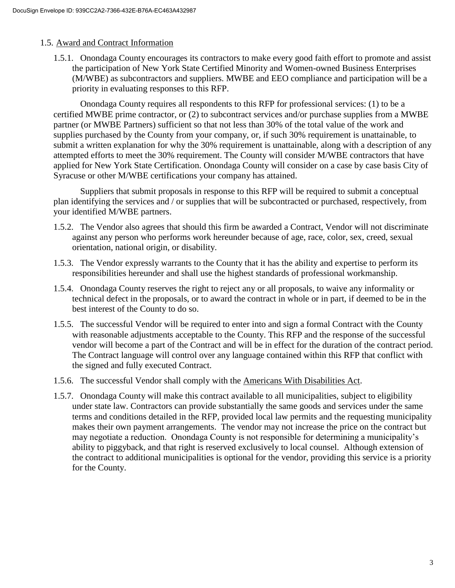#### 1.5. Award and Contract Information

1.5.1. Onondaga County encourages its contractors to make every good faith effort to promote and assist the participation of New York State Certified Minority and Women-owned Business Enterprises (M/WBE) as subcontractors and suppliers. MWBE and EEO compliance and participation will be a priority in evaluating responses to this RFP.

Onondaga County requires all respondents to this RFP for professional services: (1) to be a certified MWBE prime contractor, or (2) to subcontract services and/or purchase supplies from a MWBE partner (or MWBE Partners) sufficient so that not less than 30% of the total value of the work and supplies purchased by the County from your company, or, if such 30% requirement is unattainable, to submit a written explanation for why the 30% requirement is unattainable, along with a description of any attempted efforts to meet the 30% requirement. The County will consider M/WBE contractors that have applied for New York State Certification. Onondaga County will consider on a case by case basis City of Syracuse or other M/WBE certifications your company has attained.

Suppliers that submit proposals in response to this RFP will be required to submit a conceptual plan identifying the services and / or supplies that will be subcontracted or purchased, respectively, from your identified M/WBE partners.

- 1.5.2. The Vendor also agrees that should this firm be awarded a Contract, Vendor will not discriminate against any person who performs work hereunder because of age, race, color, sex, creed, sexual orientation, national origin, or disability.
- 1.5.3. The Vendor expressly warrants to the County that it has the ability and expertise to perform its responsibilities hereunder and shall use the highest standards of professional workmanship.
- 1.5.4. Onondaga County reserves the right to reject any or all proposals, to waive any informality or technical defect in the proposals, or to award the contract in whole or in part, if deemed to be in the best interest of the County to do so.
- 1.5.5. The successful Vendor will be required to enter into and sign a formal Contract with the County with reasonable adjustments acceptable to the County. This RFP and the response of the successful vendor will become a part of the Contract and will be in effect for the duration of the contract period. The Contract language will control over any language contained within this RFP that conflict with the signed and fully executed Contract.
- 1.5.6. The successful Vendor shall comply with the Americans With Disabilities Act.
- 1.5.7. Onondaga County will make this contract available to all municipalities, subject to eligibility under state law. Contractors can provide substantially the same goods and services under the same terms and conditions detailed in the RFP, provided local law permits and the requesting municipality makes their own payment arrangements. The vendor may not increase the price on the contract but may negotiate a reduction. Onondaga County is not responsible for determining a municipality's ability to piggyback, and that right is reserved exclusively to local counsel. Although extension of the contract to additional municipalities is optional for the vendor, providing this service is a priority for the County.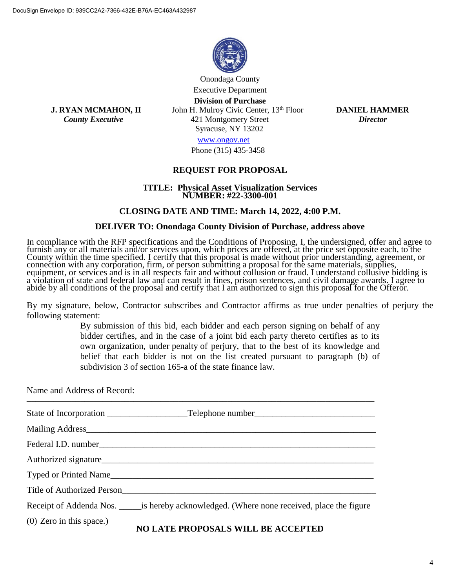

Onondaga County Executive Department **Division of Purchase**

**J. RYAN MCMAHON, II** John H. Mulroy Civic Center, 13th Floor**DANIEL HAMMER**  *County Executive* 421 Montgomery Street *Director* Syracuse, NY 13202

[www.ongov.net](http://www.ongov.net/)

Phone (315) 435-3458

#### **REQUEST FOR PROPOSAL**

#### **TITLE: Physical Asset Visualization Services NUMBER: #22-3300-001**

#### **CLOSING DATE AND TIME: March 14, 2022, 4:00 P.M.**

#### **DELIVER TO: Onondaga County Division of Purchase, address above**

In compliance with the RFP specifications and the Conditions of Proposing, I, the undersigned, offer and agree to furnish any or all materials and/or services upon, which prices are offered, at the price set opposite each, to the County within the time specified. I certify that this proposal is made without prior understanding, agreement, or connection with any corporation, firm, or person submitting a proposal for the same materials, supplies, equipment, or services and is in all respects fair and without collusion or fraud. I understand collusive bidding is a violation of state and federal law and can result in fines, prison sentences, and civil damage awards. I agree to abide by all conditions of the proposal and certify that I am authorized to sign this proposal for the Offeror.

By my signature, below, Contractor subscribes and Contractor affirms as true under penalties of perjury the following statement:

> By submission of this bid, each bidder and each person signing on behalf of any bidder certifies, and in the case of a joint bid each party thereto certifies as to its own organization, under penalty of perjury, that to the best of its knowledge and belief that each bidder is not on the list created pursuant to paragraph (b) of subdivision 3 of section 165-a of the state finance law.

Name and Address of Record:

|                            | Title of Authorized Person<br><u>Land Communication</u>                                        |
|----------------------------|------------------------------------------------------------------------------------------------|
|                            | Receipt of Addenda Nos. _______ is hereby acknowledged. (Where none received, place the figure |
| $(0)$ Zero in this space.) | NO LATE PROPOSALS WILL BE ACCEPTED                                                             |

#### **NO LATE PROPOSALS WILL BE ACCEPTED**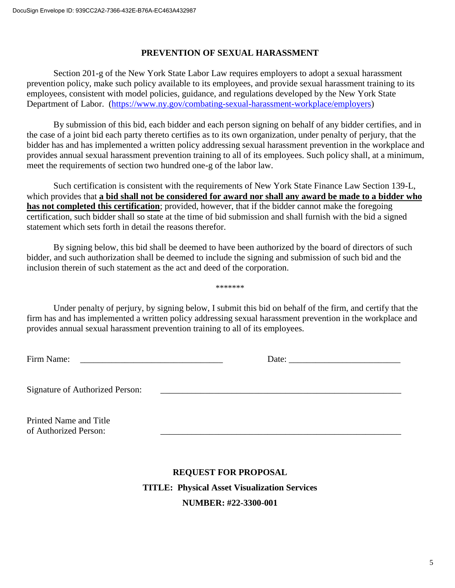### **PREVENTION OF SEXUAL HARASSMENT**

Section 201-g of the New York State Labor Law requires employers to adopt a sexual harassment prevention policy, make such policy available to its employees, and provide sexual harassment training to its employees, consistent with model policies, guidance, and regulations developed by the New York State Department of Labor. [\(https://www.ny.gov/combating-sexual-harassment-workplace/employers\)](https://www.ny.gov/combating-sexual-harassment-workplace/employers)

By submission of this bid, each bidder and each person signing on behalf of any bidder certifies, and in the case of a joint bid each party thereto certifies as to its own organization, under penalty of perjury, that the bidder has and has implemented a written policy addressing sexual harassment prevention in the workplace and provides annual sexual harassment prevention training to all of its employees. Such policy shall, at a minimum, meet the requirements of section two hundred one-g of the labor law.

Such certification is consistent with the requirements of New York State Finance Law Section 139-L, which provides that **a bid shall not be considered for award nor shall any award be made to a bidder who has not completed this certification**; provided, however, that if the bidder cannot make the foregoing certification, such bidder shall so state at the time of bid submission and shall furnish with the bid a signed statement which sets forth in detail the reasons therefor.

By signing below, this bid shall be deemed to have been authorized by the board of directors of such bidder, and such authorization shall be deemed to include the signing and submission of such bid and the inclusion therein of such statement as the act and deed of the corporation.

Under penalty of perjury, by signing below, I submit this bid on behalf of the firm, and certify that the firm has and has implemented a written policy addressing sexual harassment prevention in the workplace and provides annual sexual harassment prevention training to all of its employees.

\*\*\*\*\*\*\*

Firm Name: \_\_\_\_\_\_\_\_\_\_\_\_\_\_\_\_\_\_\_\_\_\_\_\_\_\_\_\_\_\_\_\_ Date: \_\_\_\_\_\_\_\_\_\_\_\_\_\_\_\_\_\_\_\_\_\_\_\_\_

Signature of Authorized Person:

Printed Name and Title of Authorized Person:

# **REQUEST FOR PROPOSAL TITLE: Physical Asset Visualization Services NUMBER: #22-3300-001**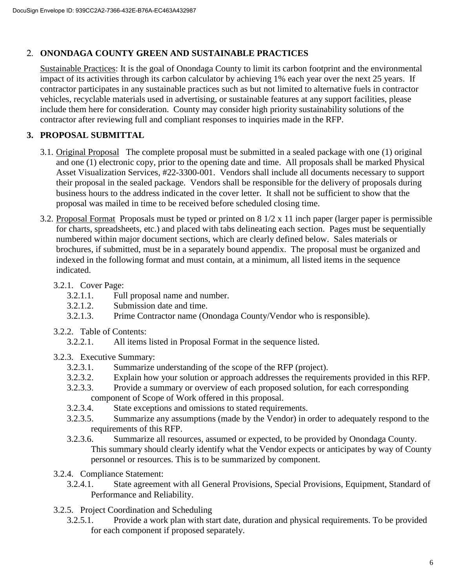### 2. **ONONDAGA COUNTY GREEN AND SUSTAINABLE PRACTICES**

Sustainable Practices: It is the goal of Onondaga County to limit its carbon footprint and the environmental impact of its activities through its carbon calculator by achieving 1% each year over the next 25 years. If contractor participates in any sustainable practices such as but not limited to alternative fuels in contractor vehicles, recyclable materials used in advertising, or sustainable features at any support facilities, please include them here for consideration. County may consider high priority sustainability solutions of the contractor after reviewing full and compliant responses to inquiries made in the RFP.

# **3. PROPOSAL SUBMITTAL**

- 3.1. Original Proposal The complete proposal must be submitted in a sealed package with one (1) original and one (1) electronic copy, prior to the opening date and time. All proposals shall be marked Physical Asset Visualization Services, #22-3300-001. Vendors shall include all documents necessary to support their proposal in the sealed package. Vendors shall be responsible for the delivery of proposals during business hours to the address indicated in the cover letter. It shall not be sufficient to show that the proposal was mailed in time to be received before scheduled closing time.
- 3.2. Proposal Format Proposals must be typed or printed on 8 1/2 x 11 inch paper (larger paper is permissible for charts, spreadsheets, etc.) and placed with tabs delineating each section. Pages must be sequentially numbered within major document sections, which are clearly defined below. Sales materials or brochures, if submitted, must be in a separately bound appendix. The proposal must be organized and indexed in the following format and must contain, at a minimum, all listed items in the sequence indicated.
	- 3.2.1. Cover Page:
		- 3.2.1.1. Full proposal name and number.
		- 3.2.1.2. Submission date and time.
		- 3.2.1.3. Prime Contractor name (Onondaga County/Vendor who is responsible).
	- 3.2.2. Table of Contents:
		- 3.2.2.1. All items listed in Proposal Format in the sequence listed.
	- 3.2.3. Executive Summary:
		- 3.2.3.1. Summarize understanding of the scope of the RFP (project).<br>3.2.3.2. Explain how your solution or approach addresses the require
		- Explain how your solution or approach addresses the requirements provided in this RFP.
		- 3.2.3.3. Provide a summary or overview of each proposed solution, for each corresponding component of Scope of Work offered in this proposal.
		- 3.2.3.4. State exceptions and omissions to stated requirements.
		- 3.2.3.5. Summarize any assumptions (made by the Vendor) in order to adequately respond to the requirements of this RFP.
		- 3.2.3.6. Summarize all resources, assumed or expected, to be provided by Onondaga County. This summary should clearly identify what the Vendor expects or anticipates by way of County personnel or resources. This is to be summarized by component.
	- 3.2.4. Compliance Statement:
		- 3.2.4.1. State agreement with all General Provisions, Special Provisions, Equipment, Standard of Performance and Reliability.
	- 3.2.5. Project Coordination and Scheduling
		- 3.2.5.1. Provide a work plan with start date, duration and physical requirements. To be provided for each component if proposed separately.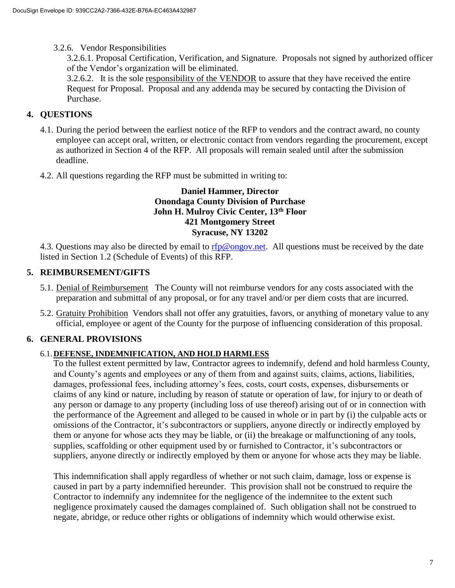3.2.6. Vendor Responsibilities

3.2.6.1. Proposal Certification, Verification, and Signature. Proposals not signed by authorized officer of the Vendor's organization will be eliminated.

3.2.6.2. It is the sole responsibility of the VENDOR to assure that they have received the entire Request for Proposal. Proposal and any addenda may be secured by contacting the Division of Purchase.

### **4. QUESTIONS**

- 4.1. During the period between the earliest notice of the RFP to vendors and the contract award, no county employee can accept oral, written, or electronic contact from vendors regarding the procurement, except as authorized in Section 4 of the RFP. All proposals will remain sealed until after the submission deadline.
- 4.2. All questions regarding the RFP must be submitted in writing to:

#### **Daniel Hammer, Director Onondaga County Division of Purchase John H. Mulroy Civic Center, 13th Floor 421 Montgomery Street Syracuse, NY 13202**

4.3. Questions may also be directed by email to [rfp@ongov.net.](mailto:rfp@ongov.net) All questions must be received by the date listed in Section 1.2 (Schedule of Events) of this RFP.

### **5. REIMBURSEMENT/GIFTS**

- 5.1. Denial of Reimbursement The County will not reimburse vendors for any costs associated with the preparation and submittal of any proposal, or for any travel and/or per diem costs that are incurred.
- 5.2. Gratuity Prohibition Vendors shall not offer any gratuities, favors, or anything of monetary value to any official, employee or agent of the County for the purpose of influencing consideration of this proposal.

# **6. GENERAL PROVISIONS**

### 6.1.**DEFENSE, INDEMNIFICATION, AND HOLD HARMLESS**

 To the fullest extent permitted by law, Contractor agrees to indemnify, defend and hold harmless County, and County's agents and employees or any of them from and against suits, claims, actions, liabilities, damages, professional fees, including attorney's fees, costs, court costs, expenses, disbursements or claims of any kind or nature, including by reason of statute or operation of law, for injury to or death of any person or damage to any property (including loss of use thereof) arising out of or in connection with the performance of the Agreement and alleged to be caused in whole or in part by (i) the culpable acts or omissions of the Contractor, it's subcontractors or suppliers, anyone directly or indirectly employed by them or anyone for whose acts they may be liable, or (ii) the breakage or malfunctioning of any tools, supplies, scaffolding or other equipment used by or furnished to Contractor, it's subcontractors or suppliers, anyone directly or indirectly employed by them or anyone for whose acts they may be liable.

This indemnification shall apply regardless of whether or not such claim, damage, loss or expense is caused in part by a party indemnified hereunder. This provision shall not be construed to require the Contractor to indemnify any indemnitee for the negligence of the indemnitee to the extent such negligence proximately caused the damages complained of. Such obligation shall not be construed to negate, abridge, or reduce other rights or obligations of indemnity which would otherwise exist.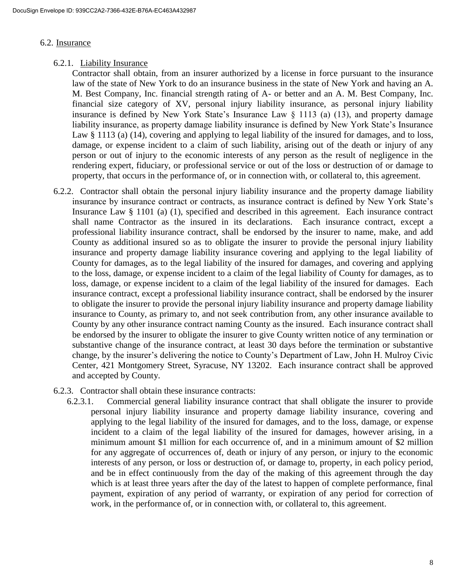#### 6.2. Insurance

6.2.1. Liability Insurance

Contractor shall obtain, from an insurer authorized by a license in force pursuant to the insurance law of the state of New York to do an insurance business in the state of New York and having an A. M. Best Company, Inc. financial strength rating of A- or better and an A. M. Best Company, Inc. financial size category of XV, personal injury liability insurance, as personal injury liability insurance is defined by New York State's Insurance Law § 1113 (a) (13), and property damage liability insurance, as property damage liability insurance is defined by New York State's Insurance Law § 1113 (a) (14), covering and applying to legal liability of the insured for damages, and to loss, damage, or expense incident to a claim of such liability, arising out of the death or injury of any person or out of injury to the economic interests of any person as the result of negligence in the rendering expert, fiduciary, or professional service or out of the loss or destruction of or damage to property, that occurs in the performance of, or in connection with, or collateral to, this agreement.

- 6.2.2. Contractor shall obtain the personal injury liability insurance and the property damage liability insurance by insurance contract or contracts, as insurance contract is defined by New York State's Insurance Law § 1101 (a) (1), specified and described in this agreement. Each insurance contract shall name Contractor as the insured in its declarations. Each insurance contract, except a professional liability insurance contract, shall be endorsed by the insurer to name, make, and add County as additional insured so as to obligate the insurer to provide the personal injury liability insurance and property damage liability insurance covering and applying to the legal liability of County for damages, as to the legal liability of the insured for damages, and covering and applying to the loss, damage, or expense incident to a claim of the legal liability of County for damages, as to loss, damage, or expense incident to a claim of the legal liability of the insured for damages. Each insurance contract, except a professional liability insurance contract, shall be endorsed by the insurer to obligate the insurer to provide the personal injury liability insurance and property damage liability insurance to County, as primary to, and not seek contribution from, any other insurance available to County by any other insurance contract naming County as the insured. Each insurance contract shall be endorsed by the insurer to obligate the insurer to give County written notice of any termination or substantive change of the insurance contract, at least 30 days before the termination or substantive change, by the insurer's delivering the notice to County's Department of Law, John H. Mulroy Civic Center, 421 Montgomery Street, Syracuse, NY 13202. Each insurance contract shall be approved and accepted by County.
- 6.2.3. Contractor shall obtain these insurance contracts:
	- 6.2.3.1. Commercial general liability insurance contract that shall obligate the insurer to provide personal injury liability insurance and property damage liability insurance, covering and applying to the legal liability of the insured for damages, and to the loss, damage, or expense incident to a claim of the legal liability of the insured for damages, however arising, in a minimum amount \$1 million for each occurrence of, and in a minimum amount of \$2 million for any aggregate of occurrences of, death or injury of any person, or injury to the economic interests of any person, or loss or destruction of, or damage to, property, in each policy period, and be in effect continuously from the day of the making of this agreement through the day which is at least three years after the day of the latest to happen of complete performance, final payment, expiration of any period of warranty, or expiration of any period for correction of work, in the performance of, or in connection with, or collateral to, this agreement.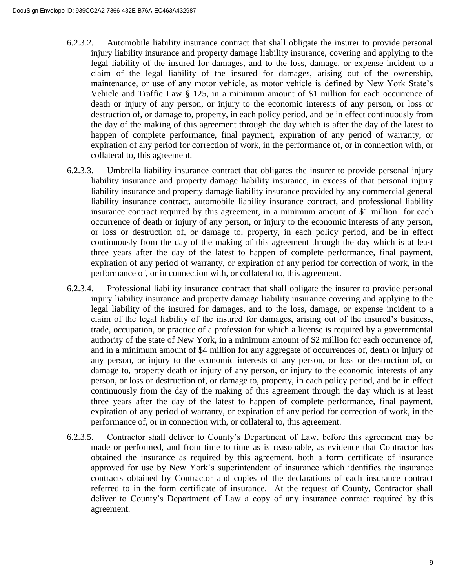- 6.2.3.2. Automobile liability insurance contract that shall obligate the insurer to provide personal injury liability insurance and property damage liability insurance, covering and applying to the legal liability of the insured for damages, and to the loss, damage, or expense incident to a claim of the legal liability of the insured for damages, arising out of the ownership, maintenance, or use of any motor vehicle, as motor vehicle is defined by New York State's Vehicle and Traffic Law § 125, in a minimum amount of \$1 million for each occurrence of death or injury of any person, or injury to the economic interests of any person, or loss or destruction of, or damage to, property, in each policy period, and be in effect continuously from the day of the making of this agreement through the day which is after the day of the latest to happen of complete performance, final payment, expiration of any period of warranty, or expiration of any period for correction of work, in the performance of, or in connection with, or collateral to, this agreement.
- 6.2.3.3. Umbrella liability insurance contract that obligates the insurer to provide personal injury liability insurance and property damage liability insurance, in excess of that personal injury liability insurance and property damage liability insurance provided by any commercial general liability insurance contract, automobile liability insurance contract, and professional liability insurance contract required by this agreement, in a minimum amount of \$1 million for each occurrence of death or injury of any person, or injury to the economic interests of any person, or loss or destruction of, or damage to, property, in each policy period, and be in effect continuously from the day of the making of this agreement through the day which is at least three years after the day of the latest to happen of complete performance, final payment, expiration of any period of warranty, or expiration of any period for correction of work, in the performance of, or in connection with, or collateral to, this agreement.
- 6.2.3.4. Professional liability insurance contract that shall obligate the insurer to provide personal injury liability insurance and property damage liability insurance covering and applying to the legal liability of the insured for damages, and to the loss, damage, or expense incident to a claim of the legal liability of the insured for damages, arising out of the insured's business, trade, occupation, or practice of a profession for which a license is required by a governmental authority of the state of New York, in a minimum amount of \$2 million for each occurrence of, and in a minimum amount of \$4 million for any aggregate of occurrences of, death or injury of any person, or injury to the economic interests of any person, or loss or destruction of, or damage to, property death or injury of any person, or injury to the economic interests of any person, or loss or destruction of, or damage to, property, in each policy period, and be in effect continuously from the day of the making of this agreement through the day which is at least three years after the day of the latest to happen of complete performance, final payment, expiration of any period of warranty, or expiration of any period for correction of work, in the performance of, or in connection with, or collateral to, this agreement.
- 6.2.3.5. Contractor shall deliver to County's Department of Law, before this agreement may be made or performed, and from time to time as is reasonable, as evidence that Contractor has obtained the insurance as required by this agreement, both a form certificate of insurance approved for use by New York's superintendent of insurance which identifies the insurance contracts obtained by Contractor and copies of the declarations of each insurance contract referred to in the form certificate of insurance. At the request of County, Contractor shall deliver to County's Department of Law a copy of any insurance contract required by this agreement.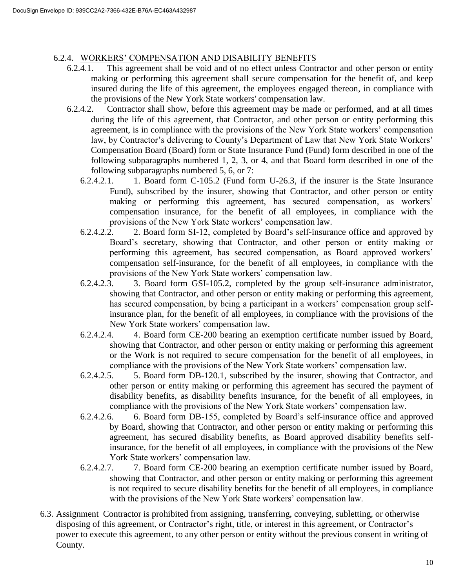### 6.2.4. WORKERS' COMPENSATION AND DISABILITY BENEFITS

- 6.2.4.1. This agreement shall be void and of no effect unless Contractor and other person or entity making or performing this agreement shall secure compensation for the benefit of, and keep insured during the life of this agreement, the employees engaged thereon, in compliance with the provisions of the New York State workers' compensation law.
- 6.2.4.2. Contractor shall show, before this agreement may be made or performed, and at all times during the life of this agreement, that Contractor, and other person or entity performing this agreement, is in compliance with the provisions of the New York State workers' compensation law, by Contractor's delivering to County's Department of Law that New York State Workers' Compensation Board (Board) form or State Insurance Fund (Fund) form described in one of the following subparagraphs numbered 1, 2, 3, or 4, and that Board form described in one of the following subparagraphs numbered 5, 6, or 7:
	- 6.2.4.2.1. 1. Board form C-105.2 (Fund form U-26.3, if the insurer is the State Insurance Fund), subscribed by the insurer, showing that Contractor, and other person or entity making or performing this agreement, has secured compensation, as workers' compensation insurance, for the benefit of all employees, in compliance with the provisions of the New York State workers' compensation law.
	- 6.2.4.2.2. 2. Board form SI-12, completed by Board's self-insurance office and approved by Board's secretary, showing that Contractor, and other person or entity making or performing this agreement, has secured compensation, as Board approved workers' compensation self-insurance, for the benefit of all employees, in compliance with the provisions of the New York State workers' compensation law.
	- 6.2.4.2.3. 3. Board form GSI-105.2, completed by the group self-insurance administrator, showing that Contractor, and other person or entity making or performing this agreement, has secured compensation, by being a participant in a workers' compensation group selfinsurance plan, for the benefit of all employees, in compliance with the provisions of the New York State workers' compensation law.
	- 6.2.4.2.4. 4. Board form CE-200 bearing an exemption certificate number issued by Board, showing that Contractor, and other person or entity making or performing this agreement or the Work is not required to secure compensation for the benefit of all employees, in compliance with the provisions of the New York State workers' compensation law.
	- 6.2.4.2.5. 5. Board form DB-120.1, subscribed by the insurer, showing that Contractor, and other person or entity making or performing this agreement has secured the payment of disability benefits, as disability benefits insurance, for the benefit of all employees, in compliance with the provisions of the New York State workers' compensation law.
	- 6.2.4.2.6. 6. Board form DB-155, completed by Board's self-insurance office and approved by Board, showing that Contractor, and other person or entity making or performing this agreement, has secured disability benefits, as Board approved disability benefits selfinsurance, for the benefit of all employees, in compliance with the provisions of the New York State workers' compensation law.
	- 6.2.4.2.7. 7. Board form CE-200 bearing an exemption certificate number issued by Board, showing that Contractor, and other person or entity making or performing this agreement is not required to secure disability benefits for the benefit of all employees, in compliance with the provisions of the New York State workers' compensation law.
- 6.3. Assignment Contractor is prohibited from assigning, transferring, conveying, subletting, or otherwise disposing of this agreement, or Contractor's right, title, or interest in this agreement, or Contractor's power to execute this agreement, to any other person or entity without the previous consent in writing of County.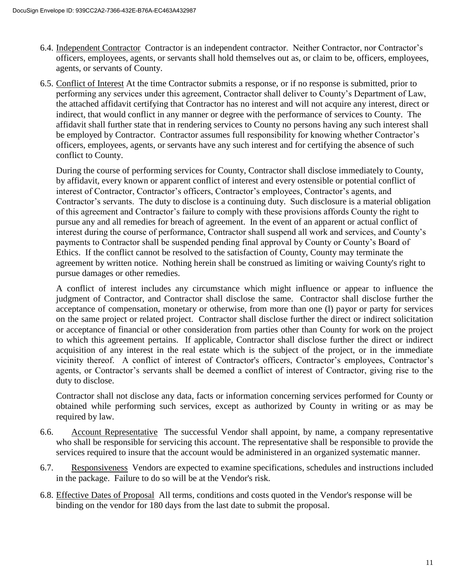- 6.4. Independent Contractor Contractor is an independent contractor. Neither Contractor, nor Contractor's officers, employees, agents, or servants shall hold themselves out as, or claim to be, officers, employees, agents, or servants of County.
- 6.5. Conflict of Interest At the time Contractor submits a response, or if no response is submitted, prior to performing any services under this agreement, Contractor shall deliver to County's Department of Law, the attached affidavit certifying that Contractor has no interest and will not acquire any interest, direct or indirect, that would conflict in any manner or degree with the performance of services to County. The affidavit shall further state that in rendering services to County no persons having any such interest shall be employed by Contractor. Contractor assumes full responsibility for knowing whether Contractor's officers, employees, agents, or servants have any such interest and for certifying the absence of such conflict to County.

During the course of performing services for County, Contractor shall disclose immediately to County, by affidavit, every known or apparent conflict of interest and every ostensible or potential conflict of interest of Contractor, Contractor's officers, Contractor's employees, Contractor's agents, and Contractor's servants. The duty to disclose is a continuing duty. Such disclosure is a material obligation of this agreement and Contractor's failure to comply with these provisions affords County the right to pursue any and all remedies for breach of agreement. In the event of an apparent or actual conflict of interest during the course of performance, Contractor shall suspend all work and services, and County's payments to Contractor shall be suspended pending final approval by County or County's Board of Ethics. If the conflict cannot be resolved to the satisfaction of County, County may terminate the agreement by written notice. Nothing herein shall be construed as limiting or waiving County's right to pursue damages or other remedies.

A conflict of interest includes any circumstance which might influence or appear to influence the judgment of Contractor, and Contractor shall disclose the same. Contractor shall disclose further the acceptance of compensation, monetary or otherwise, from more than one (l) payor or party for services on the same project or related project. Contractor shall disclose further the direct or indirect solicitation or acceptance of financial or other consideration from parties other than County for work on the project to which this agreement pertains. If applicable, Contractor shall disclose further the direct or indirect acquisition of any interest in the real estate which is the subject of the project, or in the immediate vicinity thereof. A conflict of interest of Contractor's officers, Contractor's employees, Contractor's agents, or Contractor's servants shall be deemed a conflict of interest of Contractor, giving rise to the duty to disclose.

Contractor shall not disclose any data, facts or information concerning services performed for County or obtained while performing such services, except as authorized by County in writing or as may be required by law.

- 6.6. Account Representative The successful Vendor shall appoint, by name, a company representative who shall be responsible for servicing this account. The representative shall be responsible to provide the services required to insure that the account would be administered in an organized systematic manner.
- 6.7. Responsiveness Vendors are expected to examine specifications, schedules and instructions included in the package. Failure to do so will be at the Vendor's risk.
- 6.8. Effective Dates of Proposal All terms, conditions and costs quoted in the Vendor's response will be binding on the vendor for 180 days from the last date to submit the proposal.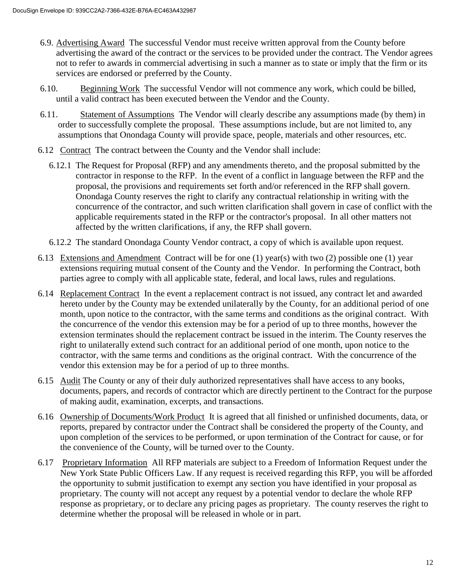- 6.9. Advertising Award The successful Vendor must receive written approval from the County before advertising the award of the contract or the services to be provided under the contract. The Vendor agrees not to refer to awards in commercial advertising in such a manner as to state or imply that the firm or its services are endorsed or preferred by the County.
- 6.10. Beginning Work The successful Vendor will not commence any work, which could be billed, until a valid contract has been executed between the Vendor and the County.
- 6.11. Statement of Assumptions The Vendor will clearly describe any assumptions made (by them) in order to successfully complete the proposal. These assumptions include, but are not limited to, any assumptions that Onondaga County will provide space, people, materials and other resources, etc.
- 6.12 Contract The contract between the County and the Vendor shall include:
	- 6.12.1 The Request for Proposal (RFP) and any amendments thereto, and the proposal submitted by the contractor in response to the RFP. In the event of a conflict in language between the RFP and the proposal, the provisions and requirements set forth and/or referenced in the RFP shall govern. Onondaga County reserves the right to clarify any contractual relationship in writing with the concurrence of the contractor, and such written clarification shall govern in case of conflict with the applicable requirements stated in the RFP or the contractor's proposal. In all other matters not affected by the written clarifications, if any, the RFP shall govern.
	- 6.12.2 The standard Onondaga County Vendor contract, a copy of which is available upon request.
- 6.13 Extensions and Amendment Contract will be for one (1) year(s) with two (2) possible one (1) year extensions requiring mutual consent of the County and the Vendor. In performing the Contract, both parties agree to comply with all applicable state, federal, and local laws, rules and regulations.
- 6.14 Replacement Contract In the event a replacement contract is not issued, any contract let and awarded hereto under by the County may be extended unilaterally by the County, for an additional period of one month, upon notice to the contractor, with the same terms and conditions as the original contract. With the concurrence of the vendor this extension may be for a period of up to three months, however the extension terminates should the replacement contract be issued in the interim. The County reserves the right to unilaterally extend such contract for an additional period of one month, upon notice to the contractor, with the same terms and conditions as the original contract. With the concurrence of the vendor this extension may be for a period of up to three months.
- 6.15 Audit The County or any of their duly authorized representatives shall have access to any books, documents, papers, and records of contractor which are directly pertinent to the Contract for the purpose of making audit, examination, excerpts, and transactions.
- 6.16 Ownership of Documents/Work Product It is agreed that all finished or unfinished documents, data, or reports, prepared by contractor under the Contract shall be considered the property of the County, and upon completion of the services to be performed, or upon termination of the Contract for cause, or for the convenience of the County, will be turned over to the County.
- 6.17 Proprietary Information All RFP materials are subject to a Freedom of Information Request under the New York State Public Officers Law. If any request is received regarding this RFP, you will be afforded the opportunity to submit justification to exempt any section you have identified in your proposal as proprietary. The county will not accept any request by a potential vendor to declare the whole RFP response as proprietary, or to declare any pricing pages as proprietary. The county reserves the right to determine whether the proposal will be released in whole or in part.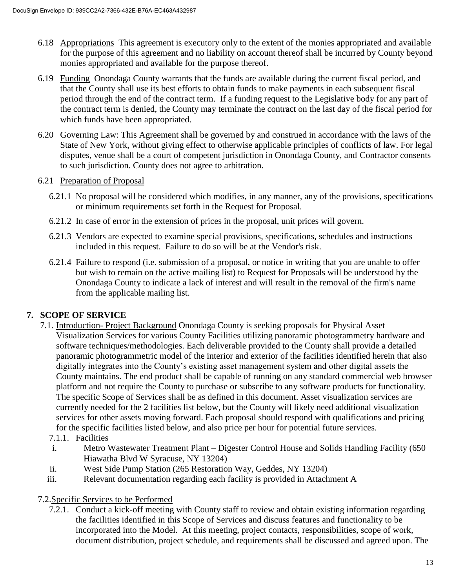- 6.18 Appropriations This agreement is executory only to the extent of the monies appropriated and available for the purpose of this agreement and no liability on account thereof shall be incurred by County beyond monies appropriated and available for the purpose thereof.
- 6.19 Funding Onondaga County warrants that the funds are available during the current fiscal period, and that the County shall use its best efforts to obtain funds to make payments in each subsequent fiscal period through the end of the contract term. If a funding request to the Legislative body for any part of the contract term is denied, the County may terminate the contract on the last day of the fiscal period for which funds have been appropriated.
- 6.20 Governing Law: This Agreement shall be governed by and construed in accordance with the laws of the State of New York, without giving effect to otherwise applicable principles of conflicts of law. For legal disputes, venue shall be a court of competent jurisdiction in Onondaga County, and Contractor consents to such jurisdiction. County does not agree to arbitration.

### 6.21 Preparation of Proposal

- 6.21.1 No proposal will be considered which modifies, in any manner, any of the provisions, specifications or minimum requirements set forth in the Request for Proposal.
- 6.21.2 In case of error in the extension of prices in the proposal, unit prices will govern.
- 6.21.3 Vendors are expected to examine special provisions, specifications, schedules and instructions included in this request. Failure to do so will be at the Vendor's risk.
- 6.21.4 Failure to respond (i.e. submission of a proposal, or notice in writing that you are unable to offer but wish to remain on the active mailing list) to Request for Proposals will be understood by the Onondaga County to indicate a lack of interest and will result in the removal of the firm's name from the applicable mailing list.

# **7. SCOPE OF SERVICE**

- 7.1. Introduction- Project Background Onondaga County is seeking proposals for Physical Asset Visualization Services for various County Facilities utilizing panoramic photogrammetry hardware and software techniques/methodologies. Each deliverable provided to the County shall provide a detailed panoramic photogrammetric model of the interior and exterior of the facilities identified herein that also digitally integrates into the County's existing asset management system and other digital assets the County maintains. The end product shall be capable of running on any standard commercial web browser platform and not require the County to purchase or subscribe to any software products for functionality. The specific Scope of Services shall be as defined in this document. Asset visualization services are currently needed for the 2 facilities list below, but the County will likely need additional visualization services for other assets moving forward. Each proposal should respond with qualifications and pricing for the specific facilities listed below, and also price per hour for potential future services.
	- 7.1.1. Facilities
	- i. Metro Wastewater Treatment Plant Digester Control House and Solids Handling Facility (650 Hiawatha Blvd W Syracuse, NY 13204)
	- ii. West Side Pump Station (265 Restoration Way, Geddes, NY 13204)
	- iii. Relevant documentation regarding each facility is provided in Attachment A
- 7.2.Specific Services to be Performed
	- 7.2.1. Conduct a kick-off meeting with County staff to review and obtain existing information regarding the facilities identified in this Scope of Services and discuss features and functionality to be incorporated into the Model. At this meeting, project contacts, responsibilities, scope of work, document distribution, project schedule, and requirements shall be discussed and agreed upon. The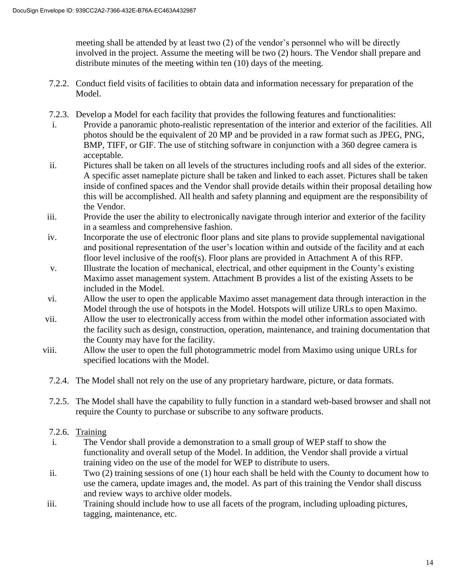meeting shall be attended by at least two (2) of the vendor's personnel who will be directly involved in the project. Assume the meeting will be two (2) hours. The Vendor shall prepare and distribute minutes of the meeting within ten (10) days of the meeting.

- 7.2.2. Conduct field visits of facilities to obtain data and information necessary for preparation of the Model.
- 7.2.3. Develop a Model for each facility that provides the following features and functionalities:
- i. Provide a panoramic photo-realistic representation of the interior and exterior of the facilities. All photos should be the equivalent of 20 MP and be provided in a raw format such as JPEG, PNG, BMP, TIFF, or GIF. The use of stitching software in conjunction with a 360 degree camera is acceptable.
- ii. Pictures shall be taken on all levels of the structures including roofs and all sides of the exterior. A specific asset nameplate picture shall be taken and linked to each asset. Pictures shall be taken inside of confined spaces and the Vendor shall provide details within their proposal detailing how this will be accomplished. All health and safety planning and equipment are the responsibility of the Vendor.
- iii. Provide the user the ability to electronically navigate through interior and exterior of the facility in a seamless and comprehensive fashion.
- iv. Incorporate the use of electronic floor plans and site plans to provide supplemental navigational and positional representation of the user's location within and outside of the facility and at each floor level inclusive of the roof(s). Floor plans are provided in Attachment A of this RFP.
- v. Illustrate the location of mechanical, electrical, and other equipment in the County's existing Maximo asset management system. Attachment B provides a list of the existing Assets to be included in the Model.
- vi. Allow the user to open the applicable Maximo asset management data through interaction in the Model through the use of hotspots in the Model. Hotspots will utilize URLs to open Maximo.
- vii. Allow the user to electronically access from within the model other information associated with the facility such as design, construction, operation, maintenance, and training documentation that the County may have for the facility.
- viii. Allow the user to open the full photogrammetric model from Maximo using unique URLs for specified locations with the Model.
	- 7.2.4. The Model shall not rely on the use of any proprietary hardware, picture, or data formats.
	- 7.2.5. The Model shall have the capability to fully function in a standard web-based browser and shall not require the County to purchase or subscribe to any software products.

# 7.2.6. Training

- i. The Vendor shall provide a demonstration to a small group of WEP staff to show the functionality and overall setup of the Model. In addition, the Vendor shall provide a virtual training video on the use of the model for WEP to distribute to users.
- ii. Two (2) training sessions of one (1) hour each shall be held with the County to document how to use the camera, update images and, the model. As part of this training the Vendor shall discuss and review ways to archive older models.
- iii. Training should include how to use all facets of the program, including uploading pictures, tagging, maintenance, etc.